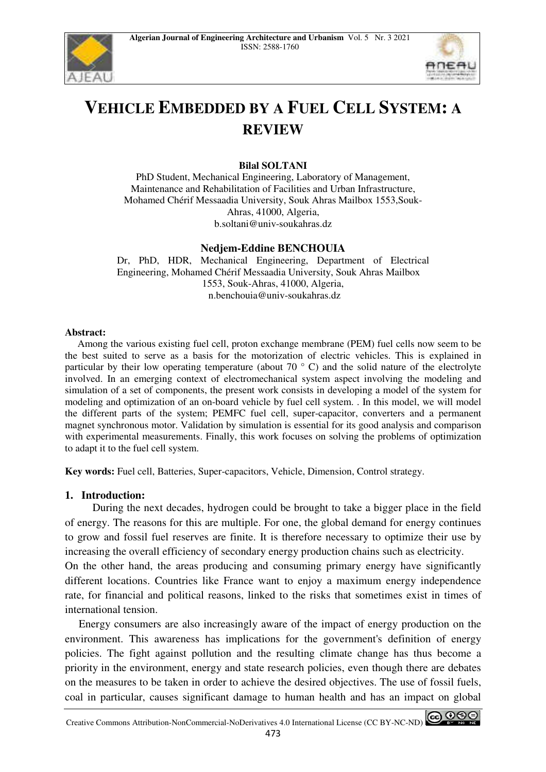



# **VEHICLE EMBEDDED BY A FUEL CELL SYSTEM: A REVIEW**

## **Bilal SOLTANI**

PhD Student, Mechanical Engineering, Laboratory of Management, Maintenance and Rehabilitation of Facilities and Urban Infrastructure, Mohamed Chérif Messaadia University, Souk Ahras Mailbox 1553,Souk-Ahras, 41000, Algeria, b.soltani@univ-soukahras.dz

## **Nedjem-Eddine BENCHOUIA**

Dr, PhD, HDR, Mechanical Engineering, Department of Electrical Engineering, Mohamed Chérif Messaadia University, Souk Ahras Mailbox 1553, Souk-Ahras, 41000, Algeria, n.benchouia@univ-soukahras.dz

#### **Abstract:**

 Among the various existing fuel cell, proton exchange membrane (PEM) fuel cells now seem to be the best suited to serve as a basis for the motorization of electric vehicles. This is explained in particular by their low operating temperature (about 70  $\degree$  C) and the solid nature of the electrolyte involved. In an emerging context of electromechanical system aspect involving the modeling and simulation of a set of components, the present work consists in developing a model of the system for modeling and optimization of an on-board vehicle by fuel cell system. . In this model, we will model the different parts of the system; PEMFC fuel cell, super-capacitor, converters and a permanent magnet synchronous motor. Validation by simulation is essential for its good analysis and comparison with experimental measurements. Finally, this work focuses on solving the problems of optimization to adapt it to the fuel cell system.

**Key words:** Fuel cell, Batteries, Super-capacitors, Vehicle, Dimension, Control strategy.

#### **1. Introduction:**

 During the next decades, hydrogen could be brought to take a bigger place in the field of energy. The reasons for this are multiple. For one, the global demand for energy continues to grow and fossil fuel reserves are finite. It is therefore necessary to optimize their use by increasing the overall efficiency of secondary energy production chains such as electricity.

On the other hand, the areas producing and consuming primary energy have significantly different locations. Countries like France want to enjoy a maximum energy independence rate, for financial and political reasons, linked to the risks that sometimes exist in times of international tension.

 Energy consumers are also increasingly aware of the impact of energy production on the environment. This awareness has implications for the government's definition of energy policies. The fight against pollution and the resulting climate change has thus become a priority in the environment, energy and state research policies, even though there are debates on the measures to be taken in order to achieve the desired objectives. The use of fossil fuels, coal in particular, causes significant damage to human health and has an impact on global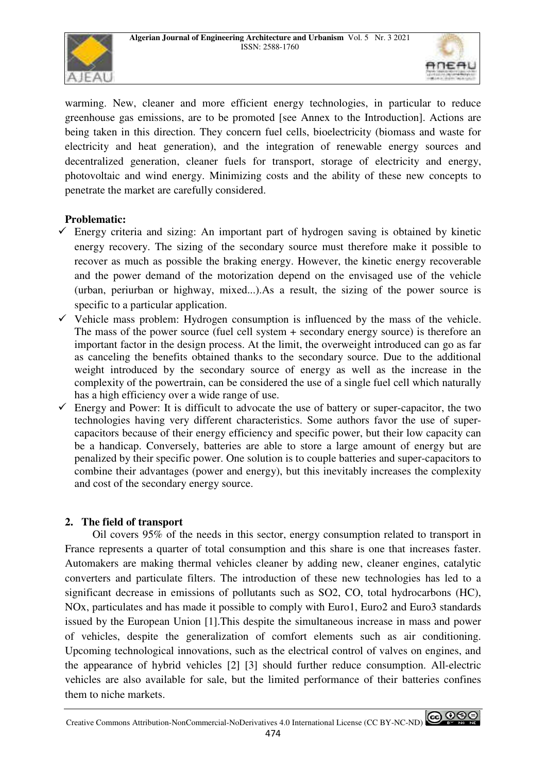



warming. New, cleaner and more efficient energy technologies, in particular to reduce greenhouse gas emissions, are to be promoted [see Annex to the Introduction]. Actions are being taken in this direction. They concern fuel cells, bioelectricity (biomass and waste for electricity and heat generation), and the integration of renewable energy sources and decentralized generation, cleaner fuels for transport, storage of electricity and energy, photovoltaic and wind energy. Minimizing costs and the ability of these new concepts to penetrate the market are carefully considered.

# **Problematic:**

- $\checkmark$  Energy criteria and sizing: An important part of hydrogen saving is obtained by kinetic energy recovery. The sizing of the secondary source must therefore make it possible to recover as much as possible the braking energy. However, the kinetic energy recoverable and the power demand of the motorization depend on the envisaged use of the vehicle (urban, periurban or highway, mixed...).As a result, the sizing of the power source is specific to a particular application.
- $\checkmark$  Vehicle mass problem: Hydrogen consumption is influenced by the mass of the vehicle. The mass of the power source (fuel cell system + secondary energy source) is therefore an important factor in the design process. At the limit, the overweight introduced can go as far as canceling the benefits obtained thanks to the secondary source. Due to the additional weight introduced by the secondary source of energy as well as the increase in the complexity of the powertrain, can be considered the use of a single fuel cell which naturally has a high efficiency over a wide range of use.
- $\checkmark$  Energy and Power: It is difficult to advocate the use of battery or super-capacitor, the two technologies having very different characteristics. Some authors favor the use of supercapacitors because of their energy efficiency and specific power, but their low capacity can be a handicap. Conversely, batteries are able to store a large amount of energy but are penalized by their specific power. One solution is to couple batteries and super-capacitors to combine their advantages (power and energy), but this inevitably increases the complexity and cost of the secondary energy source.

# **2. The field of transport**

 Oil covers 95% of the needs in this sector, energy consumption related to transport in France represents a quarter of total consumption and this share is one that increases faster. Automakers are making thermal vehicles cleaner by adding new, cleaner engines, catalytic converters and particulate filters. The introduction of these new technologies has led to a significant decrease in emissions of pollutants such as SO2, CO, total hydrocarbons (HC), NOx, particulates and has made it possible to comply with Euro1, Euro2 and Euro3 standards issued by the European Union [1].This despite the simultaneous increase in mass and power of vehicles, despite the generalization of comfort elements such as air conditioning. Upcoming technological innovations, such as the electrical control of valves on engines, and the appearance of hybrid vehicles [2] [3] should further reduce consumption. All-electric vehicles are also available for sale, but the limited performance of their batteries confines them to niche markets.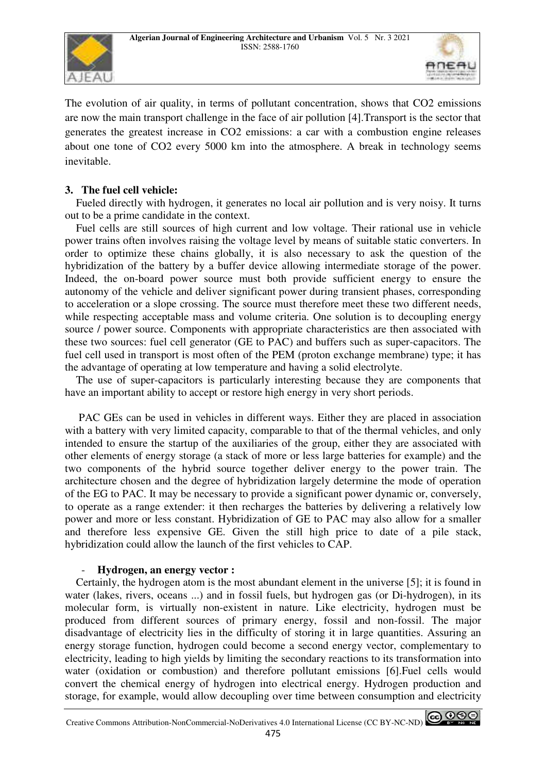



The evolution of air quality, in terms of pollutant concentration, shows that CO2 emissions are now the main transport challenge in the face of air pollution [4].Transport is the sector that generates the greatest increase in CO2 emissions: a car with a combustion engine releases about one tone of CO2 every 5000 km into the atmosphere. A break in technology seems inevitable.

# **3. The fuel cell vehicle:**

 Fueled directly with hydrogen, it generates no local air pollution and is very noisy. It turns out to be a prime candidate in the context.

 Fuel cells are still sources of high current and low voltage. Their rational use in vehicle power trains often involves raising the voltage level by means of suitable static converters. In order to optimize these chains globally, it is also necessary to ask the question of the hybridization of the battery by a buffer device allowing intermediate storage of the power. Indeed, the on-board power source must both provide sufficient energy to ensure the autonomy of the vehicle and deliver significant power during transient phases, corresponding to acceleration or a slope crossing. The source must therefore meet these two different needs, while respecting acceptable mass and volume criteria. One solution is to decoupling energy source / power source. Components with appropriate characteristics are then associated with these two sources: fuel cell generator (GE to PAC) and buffers such as super-capacitors. The fuel cell used in transport is most often of the PEM (proton exchange membrane) type; it has the advantage of operating at low temperature and having a solid electrolyte.

 The use of super-capacitors is particularly interesting because they are components that have an important ability to accept or restore high energy in very short periods.

 PAC GEs can be used in vehicles in different ways. Either they are placed in association with a battery with very limited capacity, comparable to that of the thermal vehicles, and only intended to ensure the startup of the auxiliaries of the group, either they are associated with other elements of energy storage (a stack of more or less large batteries for example) and the two components of the hybrid source together deliver energy to the power train. The architecture chosen and the degree of hybridization largely determine the mode of operation of the EG to PAC. It may be necessary to provide a significant power dynamic or, conversely, to operate as a range extender: it then recharges the batteries by delivering a relatively low power and more or less constant. Hybridization of GE to PAC may also allow for a smaller and therefore less expensive GE. Given the still high price to date of a pile stack, hybridization could allow the launch of the first vehicles to CAP.

#### - **Hydrogen, an energy vector :**

 Certainly, the hydrogen atom is the most abundant element in the universe [5]; it is found in water (lakes, rivers, oceans ...) and in fossil fuels, but hydrogen gas (or Di-hydrogen), in its molecular form, is virtually non-existent in nature. Like electricity, hydrogen must be produced from different sources of primary energy, fossil and non-fossil. The major disadvantage of electricity lies in the difficulty of storing it in large quantities. Assuring an energy storage function, hydrogen could become a second energy vector, complementary to electricity, leading to high yields by limiting the secondary reactions to its transformation into water (oxidation or combustion) and therefore pollutant emissions [6].Fuel cells would convert the chemical energy of hydrogen into electrical energy. Hydrogen production and storage, for example, would allow decoupling over time between consumption and electricity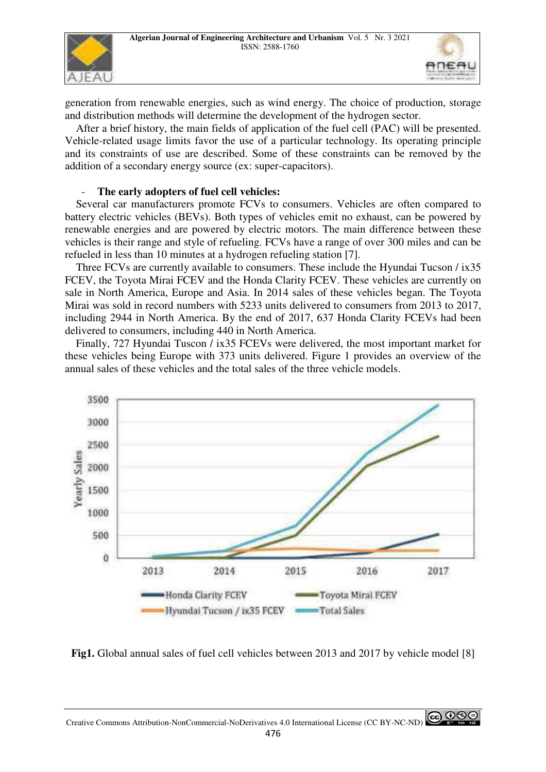



generation from renewable energies, such as wind energy. The choice of production, storage and distribution methods will determine the development of the hydrogen sector.

 After a brief history, the main fields of application of the fuel cell (PAC) will be presented. Vehicle-related usage limits favor the use of a particular technology. Its operating principle and its constraints of use are described. Some of these constraints can be removed by the addition of a secondary energy source (ex: super-capacitors).

#### - **The early adopters of fuel cell vehicles:**

 Several car manufacturers promote FCVs to consumers. Vehicles are often compared to battery electric vehicles (BEVs). Both types of vehicles emit no exhaust, can be powered by renewable energies and are powered by electric motors. The main difference between these vehicles is their range and style of refueling. FCVs have a range of over 300 miles and can be refueled in less than 10 minutes at a hydrogen refueling station [7].

 Three FCVs are currently available to consumers. These include the Hyundai Tucson / ix35 FCEV, the Toyota Mirai FCEV and the Honda Clarity FCEV. These vehicles are currently on sale in North America, Europe and Asia. In 2014 sales of these vehicles began. The Toyota Mirai was sold in record numbers with 5233 units delivered to consumers from 2013 to 2017, including 2944 in North America. By the end of 2017, 637 Honda Clarity FCEVs had been delivered to consumers, including 440 in North America.

 Finally, 727 Hyundai Tuscon / ix35 FCEVs were delivered, the most important market for these vehicles being Europe with 373 units delivered. Figure 1 provides an overview of the annual sales of these vehicles and the total sales of the three vehicle models.



**Fig1.** Global annual sales of fuel cell vehicles between 2013 and 2017 by vehicle model [8]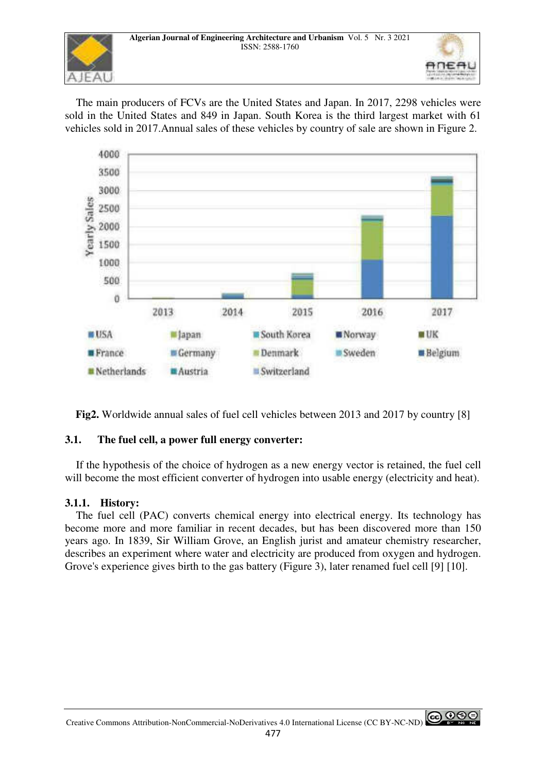

 The main producers of FCVs are the United States and Japan. In 2017, 2298 vehicles were sold in the United States and 849 in Japan. South Korea is the third largest market with 61 vehicles sold in 2017.Annual sales of these vehicles by country of sale are shown in Figure 2.



**Fig2.** Worldwide annual sales of fuel cell vehicles between 2013 and 2017 by country [8]

# **3.1. The fuel cell, a power full energy converter:**

 If the hypothesis of the choice of hydrogen as a new energy vector is retained, the fuel cell will become the most efficient converter of hydrogen into usable energy (electricity and heat).

# **3.1.1. History:**

 The fuel cell (PAC) converts chemical energy into electrical energy. Its technology has become more and more familiar in recent decades, but has been discovered more than 150 years ago. In 1839, Sir William Grove, an English jurist and amateur chemistry researcher, describes an experiment where water and electricity are produced from oxygen and hydrogen. Grove's experience gives birth to the gas battery (Figure 3), later renamed fuel cell [9] [10].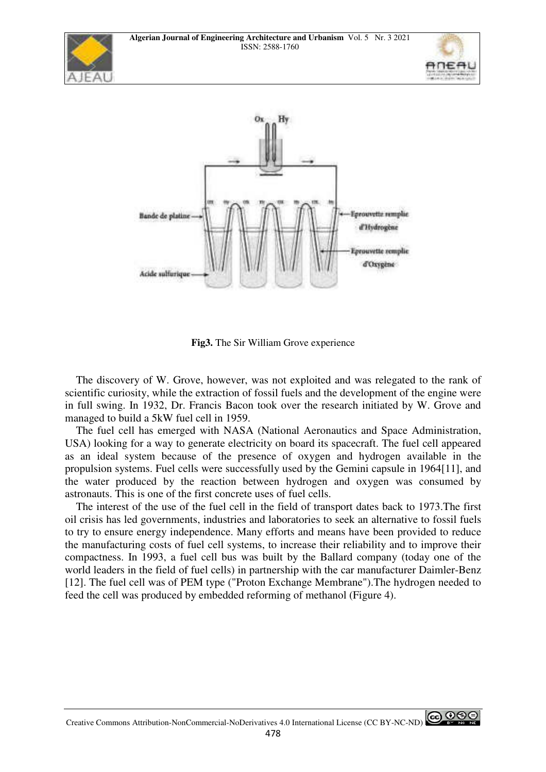





**Fig3.** The Sir William Grove experience

 The discovery of W. Grove, however, was not exploited and was relegated to the rank of scientific curiosity, while the extraction of fossil fuels and the development of the engine were in full swing. In 1932, Dr. Francis Bacon took over the research initiated by W. Grove and managed to build a 5kW fuel cell in 1959.

 The fuel cell has emerged with NASA (National Aeronautics and Space Administration, USA) looking for a way to generate electricity on board its spacecraft. The fuel cell appeared as an ideal system because of the presence of oxygen and hydrogen available in the propulsion systems. Fuel cells were successfully used by the Gemini capsule in 1964[11], and the water produced by the reaction between hydrogen and oxygen was consumed by astronauts. This is one of the first concrete uses of fuel cells.

 The interest of the use of the fuel cell in the field of transport dates back to 1973.The first oil crisis has led governments, industries and laboratories to seek an alternative to fossil fuels to try to ensure energy independence. Many efforts and means have been provided to reduce the manufacturing costs of fuel cell systems, to increase their reliability and to improve their compactness. In 1993, a fuel cell bus was built by the Ballard company (today one of the world leaders in the field of fuel cells) in partnership with the car manufacturer Daimler-Benz [12]. The fuel cell was of PEM type ("Proton Exchange Membrane").The hydrogen needed to feed the cell was produced by embedded reforming of methanol (Figure 4).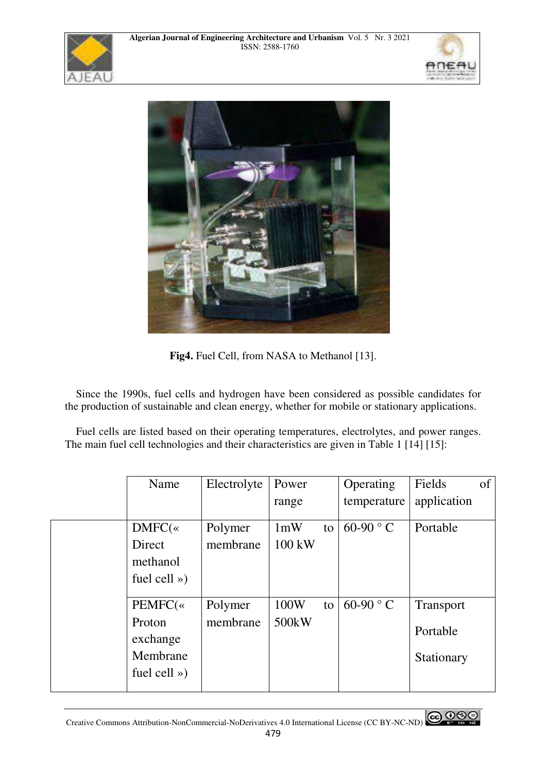





**Fig4.** Fuel Cell, from NASA to Methanol [13].

 Since the 1990s, fuel cells and hydrogen have been considered as possible candidates for the production of sustainable and clean energy, whether for mobile or stationary applications.

 Fuel cells are listed based on their operating temperatures, electrolytes, and power ranges. The main fuel cell technologies and their characteristics are given in Table 1 [14] [15]:

| Name               | Electrolyte | Power              |    | Operating         | Fields           | of |
|--------------------|-------------|--------------------|----|-------------------|------------------|----|
|                    |             | range              |    | temperature       | application      |    |
| $DMFC$ («          | Polymer     | 1mW                | to | 60-90 $\degree$ C | Portable         |    |
| Direct             | membrane    | $100 \text{ kW}$   |    |                   |                  |    |
| methanol           |             |                    |    |                   |                  |    |
| fuel cell $\gg$ )  |             |                    |    |                   |                  |    |
|                    |             |                    |    | 60-90 $\degree$ C |                  |    |
| PEMFC(«            | Polymer     | 100W               | to |                   | <b>Transport</b> |    |
| Proton<br>exchange | membrane    | 500 <sub>k</sub> W |    |                   | Portable         |    |
| Membrane           |             |                    |    |                   | Stationary       |    |
| fuel cell $\gg$ )  |             |                    |    |                   |                  |    |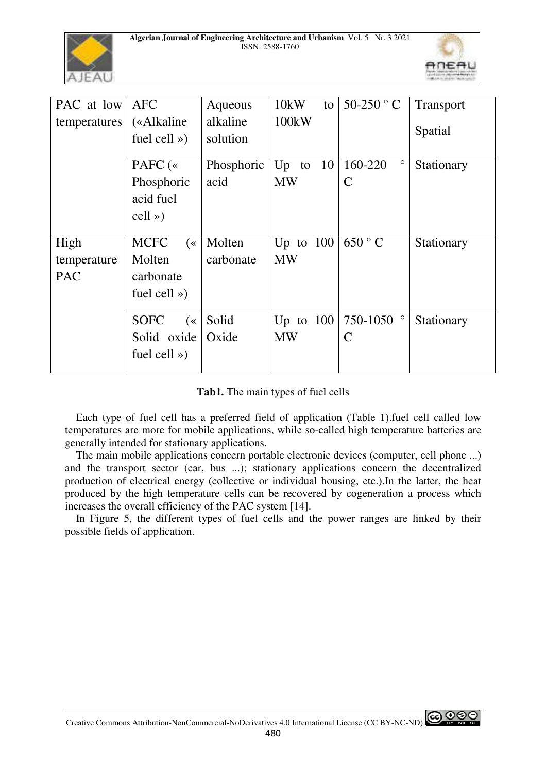



| PAC at low   | <b>AFC</b>                |            | 10kW           | 50-250 $^{\circ}$ C |                  |
|--------------|---------------------------|------------|----------------|---------------------|------------------|
|              |                           | Aqueous    | to             |                     | <b>Transport</b> |
| temperatures | («Alkaline                | alkaline   | 100kW          |                     |                  |
|              | fuel cell $\gg$ )         | solution   |                |                     | Spatial          |
|              |                           |            |                |                     |                  |
|              | PAFC $(*$                 | Phosphoric | -10<br>$Up$ to | $\circ$<br>160-220  | Stationary       |
|              | Phosphoric                | acid       | <b>MW</b>      | $\mathsf{C}$        |                  |
|              | acid fuel                 |            |                |                     |                  |
|              | $cell \rightarrow)$       |            |                |                     |                  |
|              |                           |            |                |                     |                  |
| High         | <b>MCFC</b><br>$(\kappa)$ | Molten     | Up to $100$    | 650 °C              | Stationary       |
| temperature  | Molten                    | carbonate  | <b>MW</b>      |                     |                  |
| <b>PAC</b>   | carbonate                 |            |                |                     |                  |
|              | fuel cell $\gg$ )         |            |                |                     |                  |
|              |                           |            |                |                     |                  |
|              | <b>SOFC</b><br>$(\kappa)$ | Solid      | Up to $100$    | $\circ$<br>750-1050 | Stationary       |
|              | Solid oxide               | Oxide      | <b>MW</b>      | $\mathsf{C}$        |                  |
|              | fuel cell $\gg$ )         |            |                |                     |                  |
|              |                           |            |                |                     |                  |

**Tab1.** The main types of fuel cells

 Each type of fuel cell has a preferred field of application (Table 1).fuel cell called low temperatures are more for mobile applications, while so-called high temperature batteries are generally intended for stationary applications.

 The main mobile applications concern portable electronic devices (computer, cell phone ...) and the transport sector (car, bus ...); stationary applications concern the decentralized production of electrical energy (collective or individual housing, etc.).In the latter, the heat produced by the high temperature cells can be recovered by cogeneration a process which increases the overall efficiency of the PAC system [14].

 In Figure 5, the different types of fuel cells and the power ranges are linked by their possible fields of application.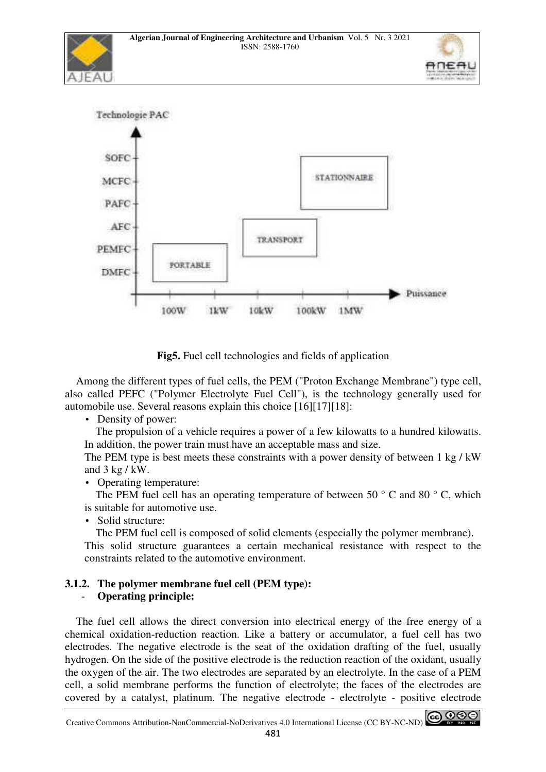



**Fig5.** Fuel cell technologies and fields of application

 Among the different types of fuel cells, the PEM ("Proton Exchange Membrane") type cell, also called PEFC ("Polymer Electrolyte Fuel Cell"), is the technology generally used for automobile use. Several reasons explain this choice [16][17][18]:

• Density of power:

 The propulsion of a vehicle requires a power of a few kilowatts to a hundred kilowatts. In addition, the power train must have an acceptable mass and size.

The PEM type is best meets these constraints with a power density of between 1 kg / kW and 3 kg / kW.

• Operating temperature:

The PEM fuel cell has an operating temperature of between 50  $\degree$  C and 80  $\degree$  C, which is suitable for automotive use.

• Solid structure:

The PEM fuel cell is composed of solid elements (especially the polymer membrane).

This solid structure guarantees a certain mechanical resistance with respect to the constraints related to the automotive environment.

# **3.1.2. The polymer membrane fuel cell (PEM type):**

# - **Operating principle:**

 The fuel cell allows the direct conversion into electrical energy of the free energy of a chemical oxidation-reduction reaction. Like a battery or accumulator, a fuel cell has two electrodes. The negative electrode is the seat of the oxidation drafting of the fuel, usually hydrogen. On the side of the positive electrode is the reduction reaction of the oxidant, usually the oxygen of the air. The two electrodes are separated by an electrolyte. In the case of a PEM cell, a solid membrane performs the function of electrolyte; the faces of the electrodes are covered by a catalyst, platinum. The negative electrode - electrolyte - positive electrode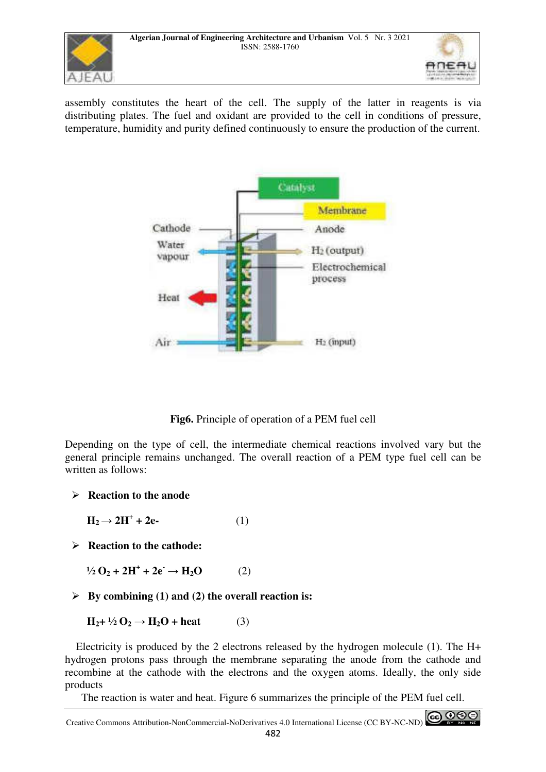



assembly constitutes the heart of the cell. The supply of the latter in reagents is via distributing plates. The fuel and oxidant are provided to the cell in conditions of pressure, temperature, humidity and purity defined continuously to ensure the production of the current.



**Fig6.** Principle of operation of a PEM fuel cell

Depending on the type of cell, the intermediate chemical reactions involved vary but the general principle remains unchanged. The overall reaction of a PEM type fuel cell can be written as follows:

- **Reaction to the anode**

 $H_2 \to 2H^+ + 2e$ - (1)

- **Reaction to the cathode:** 

 $\frac{1}{2}$  O<sub>2</sub> + 2H<sup>+</sup> + 2e<sup>+</sup> → H<sub>2</sub>O (2)

- **By combining (1) and (2) the overall reaction is:** 

 $H_2 + \frac{1}{2} O_2 \rightarrow H_2 O + \text{heat}$  (3)

 Electricity is produced by the 2 electrons released by the hydrogen molecule (1). The H+ hydrogen protons pass through the membrane separating the anode from the cathode and recombine at the cathode with the electrons and the oxygen atoms. Ideally, the only side products

The reaction is water and heat. Figure 6 summarizes the principle of the PEM fuel cell.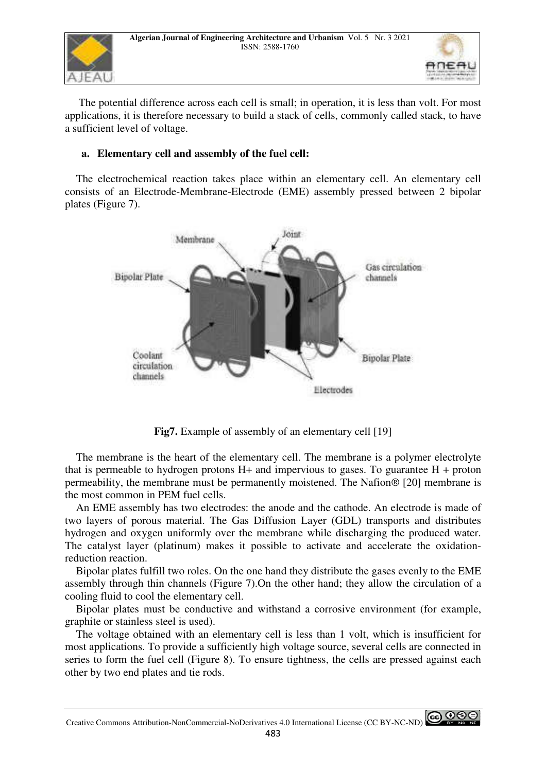



 The potential difference across each cell is small; in operation, it is less than volt. For most applications, it is therefore necessary to build a stack of cells, commonly called stack, to have a sufficient level of voltage.

## **a. Elementary cell and assembly of the fuel cell:**

 The electrochemical reaction takes place within an elementary cell. An elementary cell consists of an Electrode-Membrane-Electrode (EME) assembly pressed between 2 bipolar plates (Figure 7).



**Fig7.** Example of assembly of an elementary cell [19]

 The membrane is the heart of the elementary cell. The membrane is a polymer electrolyte that is permeable to hydrogen protons  $H<sub>+</sub>$  and impervious to gases. To guarantee  $H +$  proton permeability, the membrane must be permanently moistened. The Nafion® [20] membrane is the most common in PEM fuel cells.

 An EME assembly has two electrodes: the anode and the cathode. An electrode is made of two layers of porous material. The Gas Diffusion Layer (GDL) transports and distributes hydrogen and oxygen uniformly over the membrane while discharging the produced water. The catalyst layer (platinum) makes it possible to activate and accelerate the oxidationreduction reaction.

 Bipolar plates fulfill two roles. On the one hand they distribute the gases evenly to the EME assembly through thin channels (Figure 7).On the other hand; they allow the circulation of a cooling fluid to cool the elementary cell.

 Bipolar plates must be conductive and withstand a corrosive environment (for example, graphite or stainless steel is used).

 The voltage obtained with an elementary cell is less than 1 volt, which is insufficient for most applications. To provide a sufficiently high voltage source, several cells are connected in series to form the fuel cell (Figure 8). To ensure tightness, the cells are pressed against each other by two end plates and tie rods.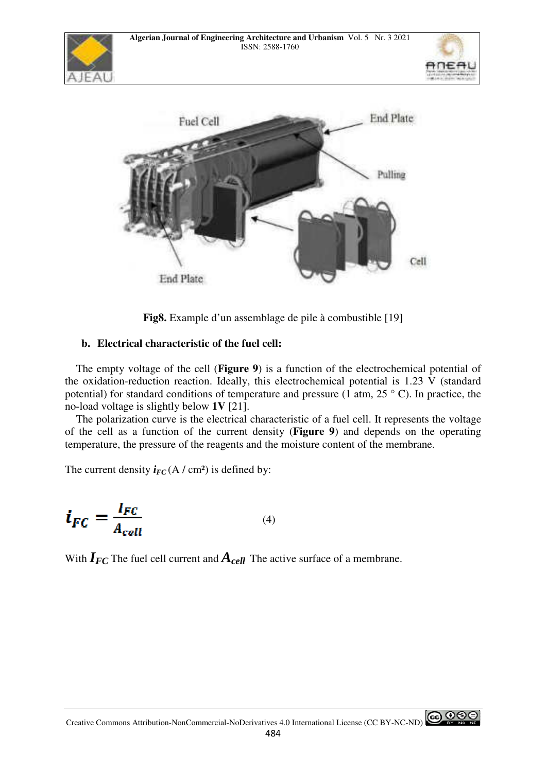





**Fig8.** Example d'un assemblage de pile à combustible [19]

# **b. Electrical characteristic of the fuel cell:**

 The empty voltage of the cell (**Figure 9**) is a function of the electrochemical potential of the oxidation-reduction reaction. Ideally, this electrochemical potential is 1.23 V (standard potential) for standard conditions of temperature and pressure (1 atm,  $25\degree$  C). In practice, the no-load voltage is slightly below **1V** [21].

 The polarization curve is the electrical characteristic of a fuel cell. It represents the voltage of the cell as a function of the current density (**Figure 9**) and depends on the operating temperature, the pressure of the reagents and the moisture content of the membrane.

The current density  $i_{FC}$  (A / cm<sup>2</sup>) is defined by:

$$
\boldsymbol{i}_{FC} = \frac{I_{FC}}{A_{cell}} \tag{4}
$$

With  $I_{FC}$  The fuel cell current and  $A_{cell}$  The active surface of a membrane.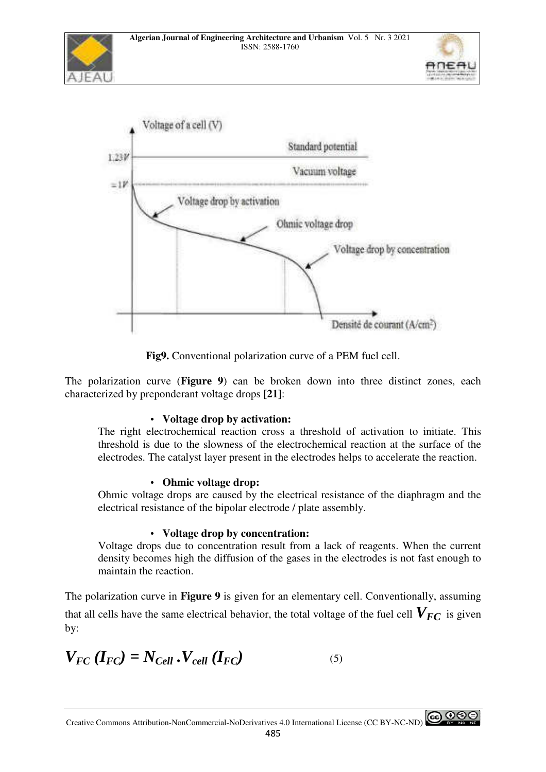





**Fig9.** Conventional polarization curve of a PEM fuel cell.

The polarization curve (**Figure 9**) can be broken down into three distinct zones, each characterized by preponderant voltage drops **[21]**:

# • **Voltage drop by activation:**

The right electrochemical reaction cross a threshold of activation to initiate. This threshold is due to the slowness of the electrochemical reaction at the surface of the electrodes. The catalyst layer present in the electrodes helps to accelerate the reaction.

# • **Ohmic voltage drop:**

Ohmic voltage drops are caused by the electrical resistance of the diaphragm and the electrical resistance of the bipolar electrode / plate assembly.

# • **Voltage drop by concentration:**

Voltage drops due to concentration result from a lack of reagents. When the current density becomes high the diffusion of the gases in the electrodes is not fast enough to maintain the reaction.

The polarization curve in **Figure 9** is given for an elementary cell. Conventionally, assuming that all cells have the same electrical behavior, the total voltage of the fuel cell  $V_{FC}$  is given by:

$$
V_{FC} (I_{FC}) = N_{Cell} \cdot V_{cell} (I_{FC})
$$
 (5)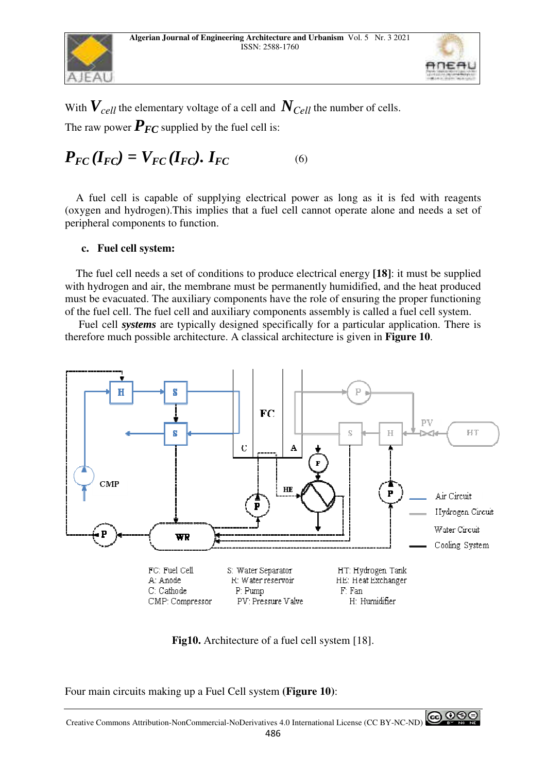





With  $V_{cell}$  the elementary voltage of a cell and  $N_{Cell}$  the number of cells. The raw power  $P_{FC}$  supplied by the fuel cell is:

# $P_{FC} (I_{FC}) = V_{FC} (I_{FC})$ .  $I_{FC}$  (6)

 A fuel cell is capable of supplying electrical power as long as it is fed with reagents (oxygen and hydrogen).This implies that a fuel cell cannot operate alone and needs a set of peripheral components to function.

## **c. Fuel cell system:**

 The fuel cell needs a set of conditions to produce electrical energy **[18]**: it must be supplied with hydrogen and air, the membrane must be permanently humidified, and the heat produced must be evacuated. The auxiliary components have the role of ensuring the proper functioning of the fuel cell. The fuel cell and auxiliary components assembly is called a fuel cell system.

 Fuel cell *systems* are typically designed specifically for a particular application. There is therefore much possible architecture. A classical architecture is given in **Figure 10**.



**Fig10.** Architecture of a fuel cell system [18].

Four main circuits making up a Fuel Cell system **(Figure 10)**: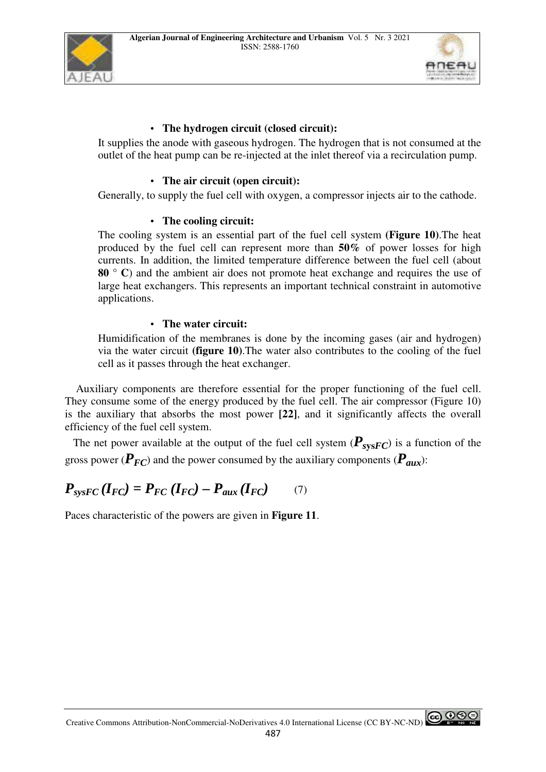



# • **The hydrogen circuit (closed circuit):**

It supplies the anode with gaseous hydrogen. The hydrogen that is not consumed at the outlet of the heat pump can be re-injected at the inlet thereof via a recirculation pump.

#### • **The air circuit (open circuit):**

Generally, to supply the fuel cell with oxygen, a compressor injects air to the cathode.

#### • **The cooling circuit:**

The cooling system is an essential part of the fuel cell system **(Figure 10)**.The heat produced by the fuel cell can represent more than **50%** of power losses for high currents. In addition, the limited temperature difference between the fuel cell (about **80 ° C**) and the ambient air does not promote heat exchange and requires the use of large heat exchangers. This represents an important technical constraint in automotive applications.

#### • **The water circuit:**

Humidification of the membranes is done by the incoming gases (air and hydrogen) via the water circuit **(figure 10)**.The water also contributes to the cooling of the fuel cell as it passes through the heat exchanger.

 Auxiliary components are therefore essential for the proper functioning of the fuel cell. They consume some of the energy produced by the fuel cell. The air compressor (Figure 10) is the auxiliary that absorbs the most power **[22]**, and it significantly affects the overall efficiency of the fuel cell system.

The net power available at the output of the fuel cell system  $(P_{\text{sys}FC})$  is a function of the gross power ( $\vec{P}_{FC}$ ) and the power consumed by the auxiliary components ( $\vec{P}_{aux}$ ):

$$
P_{\text{sysFC}}(I_{FC}) = P_{FC}(I_{FC}) - P_{aux}(I_{FC}) \tag{7}
$$

Paces characteristic of the powers are given in **Figure 11**.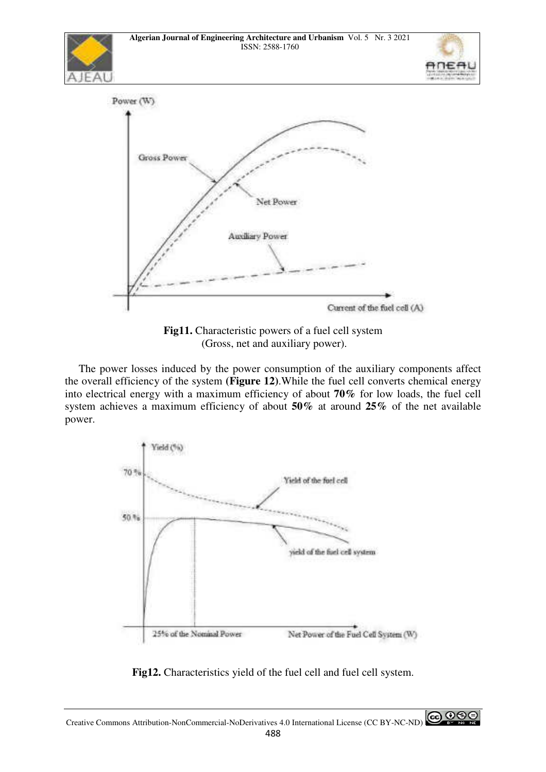



**Fig11.** Characteristic powers of a fuel cell system (Gross, net and auxiliary power).

 The power losses induced by the power consumption of the auxiliary components affect the overall efficiency of the system **(Figure 12)**.While the fuel cell converts chemical energy into electrical energy with a maximum efficiency of about **70%** for low loads, the fuel cell system achieves a maximum efficiency of about **50%** at around **25%** of the net available power.



**Fig12.** Characteristics yield of the fuel cell and fuel cell system.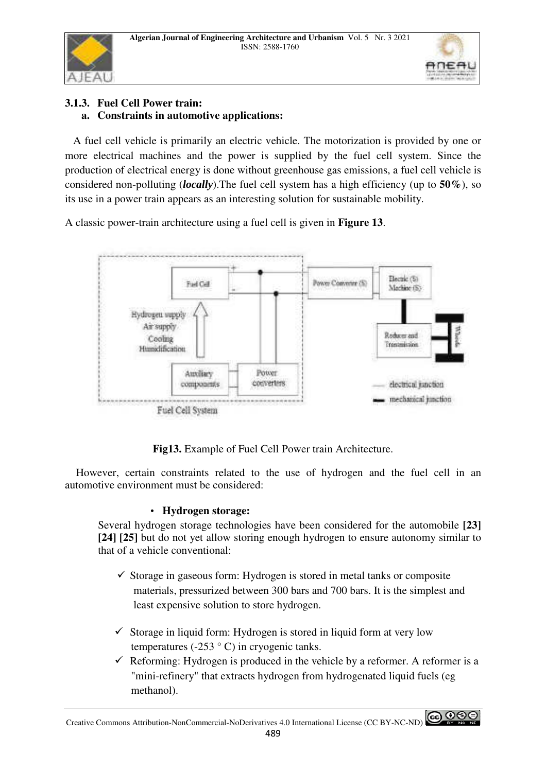



# **3.1.3. Fuel Cell Power train: a. Constraints in automotive applications:**

 A fuel cell vehicle is primarily an electric vehicle. The motorization is provided by one or more electrical machines and the power is supplied by the fuel cell system. Since the production of electrical energy is done without greenhouse gas emissions, a fuel cell vehicle is considered non-polluting (*locally*).The fuel cell system has a high efficiency (up to **50%**), so its use in a power train appears as an interesting solution for sustainable mobility.

A classic power-train architecture using a fuel cell is given in **Figure 13**.



**Fig13.** Example of Fuel Cell Power train Architecture.

 However, certain constraints related to the use of hydrogen and the fuel cell in an automotive environment must be considered:

# • **Hydrogen storage:**

Several hydrogen storage technologies have been considered for the automobile **[23] [24] [25]** but do not yet allow storing enough hydrogen to ensure autonomy similar to that of a vehicle conventional:

- $\checkmark$  Storage in gaseous form: Hydrogen is stored in metal tanks or composite materials, pressurized between 300 bars and 700 bars. It is the simplest and least expensive solution to store hydrogen.
- $\checkmark$  Storage in liquid form: Hydrogen is stored in liquid form at very low temperatures (-253  $\degree$  C) in cryogenic tanks.
- $\checkmark$  Reforming: Hydrogen is produced in the vehicle by a reformer. A reformer is a "mini-refinery" that extracts hydrogen from hydrogenated liquid fuels (eg methanol).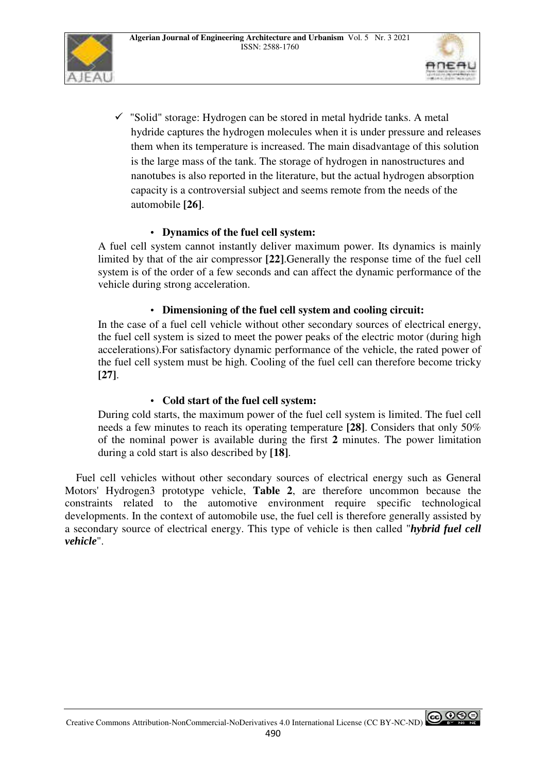



 $\checkmark$  "Solid" storage: Hydrogen can be stored in metal hydride tanks. A metal hydride captures the hydrogen molecules when it is under pressure and releases them when its temperature is increased. The main disadvantage of this solution is the large mass of the tank. The storage of hydrogen in nanostructures and nanotubes is also reported in the literature, but the actual hydrogen absorption capacity is a controversial subject and seems remote from the needs of the automobile **[26]**.

# • **Dynamics of the fuel cell system:**

A fuel cell system cannot instantly deliver maximum power. Its dynamics is mainly limited by that of the air compressor **[22]**.Generally the response time of the fuel cell system is of the order of a few seconds and can affect the dynamic performance of the vehicle during strong acceleration.

# • **Dimensioning of the fuel cell system and cooling circuit:**

In the case of a fuel cell vehicle without other secondary sources of electrical energy, the fuel cell system is sized to meet the power peaks of the electric motor (during high accelerations).For satisfactory dynamic performance of the vehicle, the rated power of the fuel cell system must be high. Cooling of the fuel cell can therefore become tricky **[27]**.

# • **Cold start of the fuel cell system:**

During cold starts, the maximum power of the fuel cell system is limited. The fuel cell needs a few minutes to reach its operating temperature **[28]**. Considers that only 50% of the nominal power is available during the first **2** minutes. The power limitation during a cold start is also described by **[18]**.

 Fuel cell vehicles without other secondary sources of electrical energy such as General Motors' Hydrogen3 prototype vehicle, **Table 2**, are therefore uncommon because the constraints related to the automotive environment require specific technological developments. In the context of automobile use, the fuel cell is therefore generally assisted by a secondary source of electrical energy. This type of vehicle is then called "*hybrid fuel cell vehicle*".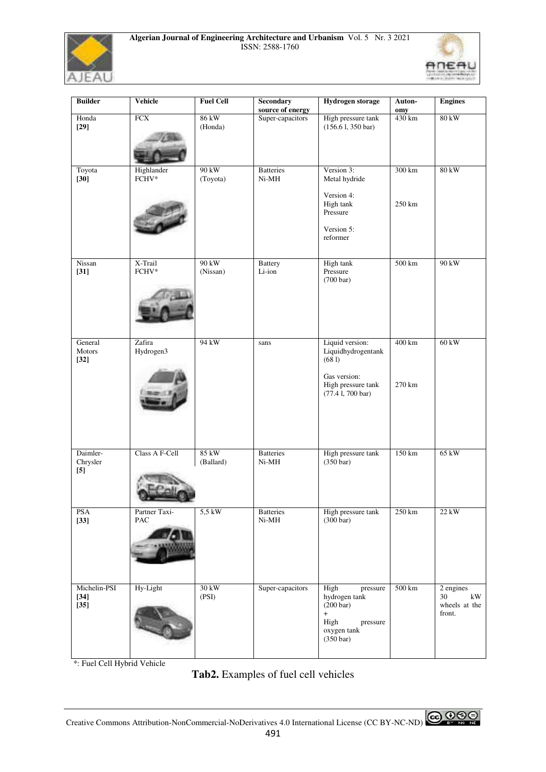



| <b>Builder</b>                   | <b>Vehicle</b>       | <b>Fuel Cell</b>    | <b>Secondary</b><br>source of energy | <b>Hydrogen</b> storage                                                                                                   | Auton-<br>omy      | <b>Engines</b>                                   |
|----------------------------------|----------------------|---------------------|--------------------------------------|---------------------------------------------------------------------------------------------------------------------------|--------------------|--------------------------------------------------|
| Honda                            | FCX                  | 86 kW               | Super-capacitors                     | High pressure tank                                                                                                        | 430 km             | $80 \text{ kW}$                                  |
| $[29]$                           |                      | (Honda)             |                                      | $(156.61, 350 \text{ bar})$                                                                                               |                    |                                                  |
| Toyota<br>$[30]$                 | Highlander<br>FCHV*  | $90$ kW<br>(Toyota) | <b>Batteries</b><br>Ni-MH            | Version 3:<br>Metal hydride<br>Version 4:                                                                                 | 300 km             | $80 \text{ kW}$                                  |
|                                  |                      |                     |                                      | High tank<br>Pressure<br>Version 5:<br>reformer                                                                           | 250 km             |                                                  |
| Nissan<br>$[31]$                 | X-Trail<br>FCHV*     | 90 kW<br>(Nissan)   | <b>Battery</b><br>Li-ion             | High tank<br>Pressure                                                                                                     | $500\ \mathrm{km}$ | 90 kW                                            |
|                                  |                      |                     |                                      | $(700 \text{ bar})$                                                                                                       |                    |                                                  |
| General<br>Motors<br>$[32]$      | Zafira<br>Hydrogen3  | 94 kW               | sans                                 | Liquid version:<br>Liquidhydrogentank<br>(681)<br>Gas version:                                                            | 400 km             | 60 kW                                            |
|                                  |                      |                     |                                      | High pressure tank<br>$(77.41, 700 \text{ bar})$                                                                          | 270 km             |                                                  |
| Daimler-<br>Chrysler<br>$[5]$    | Class A F-Cell       | 85 kW<br>(Ballard)  | <b>Batteries</b><br>Ni-MH            | High pressure tank<br>(350 bar)                                                                                           | 150 km             | 65 kW                                            |
| <b>PSA</b><br>$[33]$             | Partner Taxi-<br>PAC | $5,5$ kW            | <b>Batteries</b><br>$Ni-MH$          | High pressure tank<br>(300 bar)                                                                                           | 250 km             | 22 kW                                            |
| Michelin-PSI<br>$[34]$<br>$[35]$ | Hy-Light             | 30 kW<br>(PSI)      | Super-capacitors                     | High<br>pressure<br>hydrogen tank<br>$(200 \text{ bar})$<br>$+$<br>High<br>pressure<br>oxygen tank<br>$(350 \text{ bar})$ | $500 \mathrm{km}$  | 2 engines<br>30<br>kW<br>wheels at the<br>front. |

\*: Fuel Cell Hybrid Vehicle

# **Tab2.** Examples of fuel cell vehicles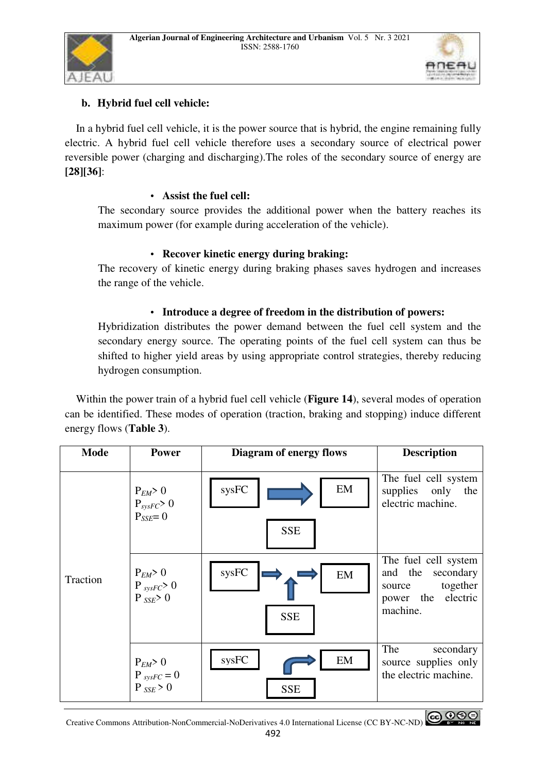



# **b. Hybrid fuel cell vehicle:**

 In a hybrid fuel cell vehicle, it is the power source that is hybrid, the engine remaining fully electric. A hybrid fuel cell vehicle therefore uses a secondary source of electrical power reversible power (charging and discharging).The roles of the secondary source of energy are **[28][36]**:

# • **Assist the fuel cell:**

The secondary source provides the additional power when the battery reaches its maximum power (for example during acceleration of the vehicle).

# • **Recover kinetic energy during braking:**

The recovery of kinetic energy during braking phases saves hydrogen and increases the range of the vehicle.

## • **Introduce a degree of freedom in the distribution of powers:**

Hybridization distributes the power demand between the fuel cell system and the secondary energy source. The operating points of the fuel cell system can thus be shifted to higher yield areas by using appropriate control strategies, thereby reducing hydrogen consumption.

 Within the power train of a hybrid fuel cell vehicle (**Figure 14**), several modes of operation can be identified. These modes of operation (traction, braking and stopping) induce different energy flows (**Table 3**).

| <b>Mode</b> | <b>Power</b>                                                | <b>Diagram of energy flows</b> | <b>Description</b>                                                                                |
|-------------|-------------------------------------------------------------|--------------------------------|---------------------------------------------------------------------------------------------------|
| Traction    | $P_{EM} > 0$<br>$P_{\text{sysFC}} > 0$<br>$P_{SSE} = 0$     | EM<br>sysFC<br><b>SSE</b>      | The fuel cell system<br>supplies only the<br>electric machine.                                    |
|             | $P_{EM} > 0$<br>$P_{sysFC} > 0$<br>$P$ <sub>SSE</sub> $> 0$ | sysFC<br>EM<br><b>SSE</b>      | The fuel cell system<br>and the secondary<br>together<br>source<br>power the electric<br>machine. |
|             | $P_{EM} > 0$<br>$P_{sysFC} = 0$<br>$P_{SSE} > 0$            | sysFC<br>EM<br><b>SSE</b>      | The<br>secondary<br>source supplies only<br>the electric machine.                                 |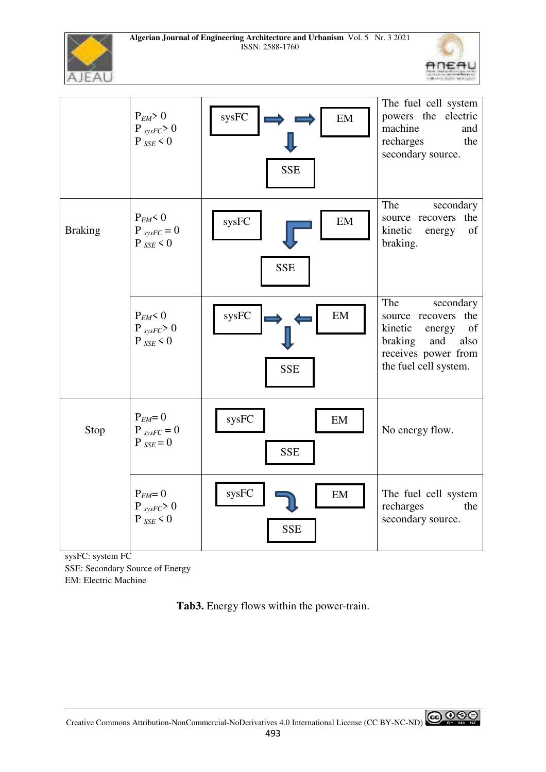



|                | $P_{EM} > 0$<br>$P_{sysFC} > 0$<br>$P_{SSE}$ < 0 | sysFC<br>EM<br><b>SSE</b>                         | The fuel cell system<br>powers the electric<br>machine<br>and<br>recharges<br>the<br>secondary source.                                          |
|----------------|--------------------------------------------------|---------------------------------------------------|-------------------------------------------------------------------------------------------------------------------------------------------------|
| <b>Braking</b> | $P_{EM}$ < 0<br>$P_{sysFC} = 0$<br>$P_{SSE}$ < 0 | $\ensuremath{\mathrm{sysFC}}$<br>EM<br><b>SSE</b> | The<br>secondary<br>the<br>source recovers<br>kinetic<br>of<br>energy<br>braking.                                                               |
|                | $P_{EM}$ < 0<br>$P_{sysFC} > 0$<br>$P_{SSE}$ < 0 | sysFC<br>EM<br><b>SSE</b>                         | The<br>secondary<br>the<br>source recovers<br>kinetic<br>of<br>energy<br>braking<br>and<br>also<br>receives power from<br>the fuel cell system. |
| Stop           | $P_{EM} = 0$<br>$P_{sysFC} = 0$<br>$P_{SSE} = 0$ | sysFC<br>EM<br><b>SSE</b>                         | No energy flow.                                                                                                                                 |
|                | $P_{EM} = 0$<br>$P_{sysFC} > 0$<br>$P_{SSE}$ < 0 | sysFC<br>EM<br><b>SSE</b>                         | The fuel cell system<br>recharges<br>the<br>secondary source.                                                                                   |

sysFC: system FC

SSE: Secondary Source of Energy EM: Electric Machine

**Tab3.** Energy flows within the power-train.

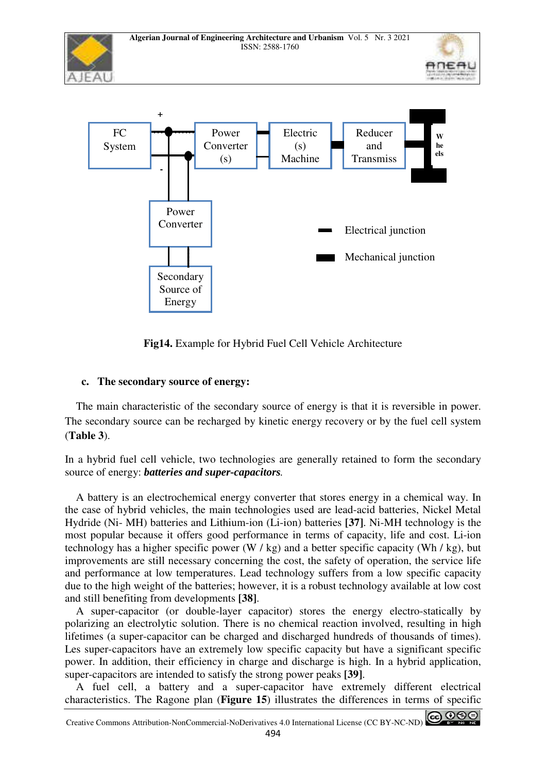

**Fig14.** Example for Hybrid Fuel Cell Vehicle Architecture

# **c. The secondary source of energy:**

 The main characteristic of the secondary source of energy is that it is reversible in power. The secondary source can be recharged by kinetic energy recovery or by the fuel cell system (**Table 3**).

In a hybrid fuel cell vehicle, two technologies are generally retained to form the secondary source of energy: *batteries and super-capacitors.*

 A battery is an electrochemical energy converter that stores energy in a chemical way. In the case of hybrid vehicles, the main technologies used are lead-acid batteries, Nickel Metal Hydride (Ni- MH) batteries and Lithium-ion (Li-ion) batteries **[37]**. Ni-MH technology is the most popular because it offers good performance in terms of capacity, life and cost. Li-ion technology has a higher specific power (W / kg) and a better specific capacity (Wh / kg), but improvements are still necessary concerning the cost, the safety of operation, the service life and performance at low temperatures. Lead technology suffers from a low specific capacity due to the high weight of the batteries; however, it is a robust technology available at low cost and still benefiting from developments **[38]**.

 A super-capacitor (or double-layer capacitor) stores the energy electro-statically by polarizing an electrolytic solution. There is no chemical reaction involved, resulting in high lifetimes (a super-capacitor can be charged and discharged hundreds of thousands of times). Les super-capacitors have an extremely low specific capacity but have a significant specific power. In addition, their efficiency in charge and discharge is high. In a hybrid application, super-capacitors are intended to satisfy the strong power peaks **[39]**.

 A fuel cell, a battery and a super-capacitor have extremely different electrical characteristics. The Ragone plan (**Figure 15**) illustrates the differences in terms of specific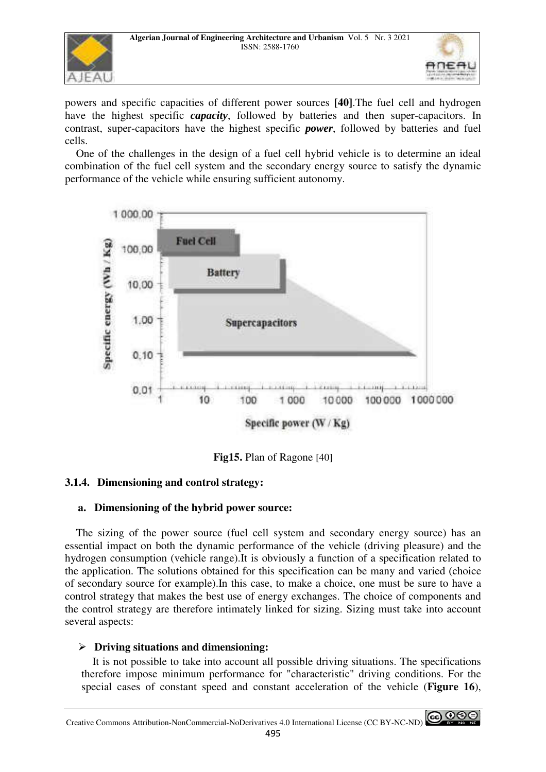



powers and specific capacities of different power sources **[40]**.The fuel cell and hydrogen have the highest specific *capacity*, followed by batteries and then super-capacitors. In contrast, super-capacitors have the highest specific *power*, followed by batteries and fuel cells.

 One of the challenges in the design of a fuel cell hybrid vehicle is to determine an ideal combination of the fuel cell system and the secondary energy source to satisfy the dynamic performance of the vehicle while ensuring sufficient autonomy.



**Fig15.** Plan of Ragone [40]

# **3.1.4. Dimensioning and control strategy:**

# **a. Dimensioning of the hybrid power source:**

 The sizing of the power source (fuel cell system and secondary energy source) has an essential impact on both the dynamic performance of the vehicle (driving pleasure) and the hydrogen consumption (vehicle range).It is obviously a function of a specification related to the application. The solutions obtained for this specification can be many and varied (choice of secondary source for example).In this case, to make a choice, one must be sure to have a control strategy that makes the best use of energy exchanges. The choice of components and the control strategy are therefore intimately linked for sizing. Sizing must take into account several aspects:

# - **Driving situations and dimensioning:**

 It is not possible to take into account all possible driving situations. The specifications therefore impose minimum performance for "characteristic" driving conditions. For the special cases of constant speed and constant acceleration of the vehicle (**Figure 16**),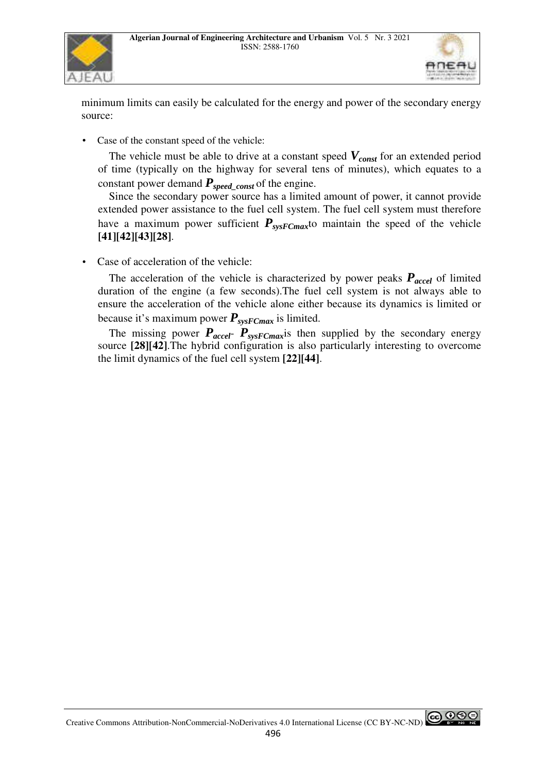



minimum limits can easily be calculated for the energy and power of the secondary energy source:

Case of the constant speed of the vehicle:

 The vehicle must be able to drive at a constant speed *Vconst* for an extended period of time (typically on the highway for several tens of minutes), which equates to a constant power demand *Pspeed\_const* of the engine.

 Since the secondary power source has a limited amount of power, it cannot provide extended power assistance to the fuel cell system. The fuel cell system must therefore have a maximum power sufficient  $P_{sysFCmax}$  maintain the speed of the vehicle **[41][42][43][28]**.

Case of acceleration of the vehicle:

The acceleration of the vehicle is characterized by power peaks  $P_{\text{accel}}$  of limited duration of the engine (a few seconds).The fuel cell system is not always able to ensure the acceleration of the vehicle alone either because its dynamics is limited or because it's maximum power  $P_{\text{sys}FCmax}$  is limited.

The missing power  $P_{accel}$ -  $P_{systemax}$  is then supplied by the secondary energy source **[28][42]**.The hybrid configuration is also particularly interesting to overcome the limit dynamics of the fuel cell system **[22][44]**.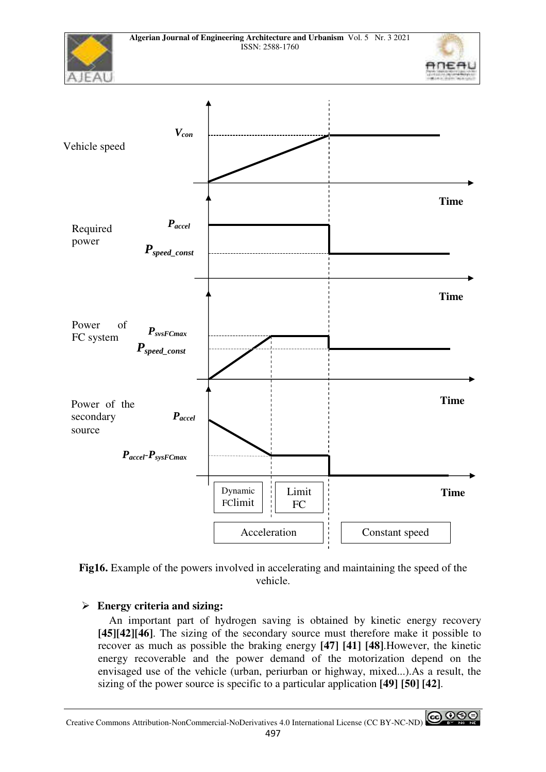



# - **Energy criteria and sizing:**

 An important part of hydrogen saving is obtained by kinetic energy recovery **[45][42][46]**. The sizing of the secondary source must therefore make it possible to recover as much as possible the braking energy **[47] [41] [48]**.However, the kinetic energy recoverable and the power demand of the motorization depend on the envisaged use of the vehicle (urban, periurban or highway, mixed...).As a result, the sizing of the power source is specific to a particular application **[49] [50] [42]**.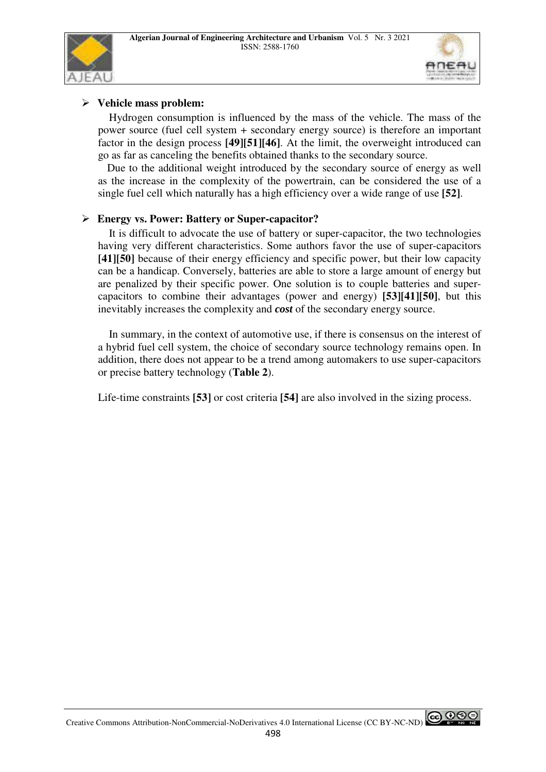



# - **Vehicle mass problem:**

 Hydrogen consumption is influenced by the mass of the vehicle. The mass of the power source (fuel cell system + secondary energy source) is therefore an important factor in the design process **[49][51][46]**. At the limit, the overweight introduced can go as far as canceling the benefits obtained thanks to the secondary source.

 Due to the additional weight introduced by the secondary source of energy as well as the increase in the complexity of the powertrain, can be considered the use of a single fuel cell which naturally has a high efficiency over a wide range of use **[52]**.

# - **Energy vs. Power: Battery or Super-capacitor?**

 It is difficult to advocate the use of battery or super-capacitor, the two technologies having very different characteristics. Some authors favor the use of super-capacitors **[41][50]** because of their energy efficiency and specific power, but their low capacity can be a handicap. Conversely, batteries are able to store a large amount of energy but are penalized by their specific power. One solution is to couple batteries and supercapacitors to combine their advantages (power and energy) **[53][41][50]**, but this inevitably increases the complexity and *cost* of the secondary energy source.

 In summary, in the context of automotive use, if there is consensus on the interest of a hybrid fuel cell system, the choice of secondary source technology remains open. In addition, there does not appear to be a trend among automakers to use super-capacitors or precise battery technology (**Table 2**).

Life-time constraints **[53]** or cost criteria **[54]** are also involved in the sizing process.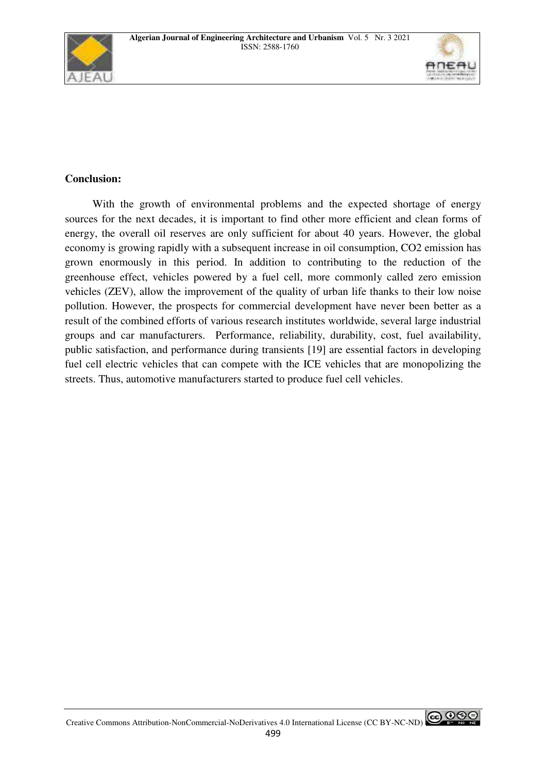



# **Conclusion:**

 With the growth of environmental problems and the expected shortage of energy sources for the next decades, it is important to find other more efficient and clean forms of energy, the overall oil reserves are only sufficient for about 40 years. However, the global economy is growing rapidly with a subsequent increase in oil consumption, CO2 emission has grown enormously in this period. In addition to contributing to the reduction of the greenhouse effect, vehicles powered by a fuel cell, more commonly called zero emission vehicles (ZEV), allow the improvement of the quality of urban life thanks to their low noise pollution. However, the prospects for commercial development have never been better as a result of the combined efforts of various research institutes worldwide, several large industrial groups and car manufacturers. Performance, reliability, durability, cost, fuel availability, public satisfaction, and performance during transients [19] are essential factors in developing fuel cell electric vehicles that can compete with the ICE vehicles that are monopolizing the streets. Thus, automotive manufacturers started to produce fuel cell vehicles.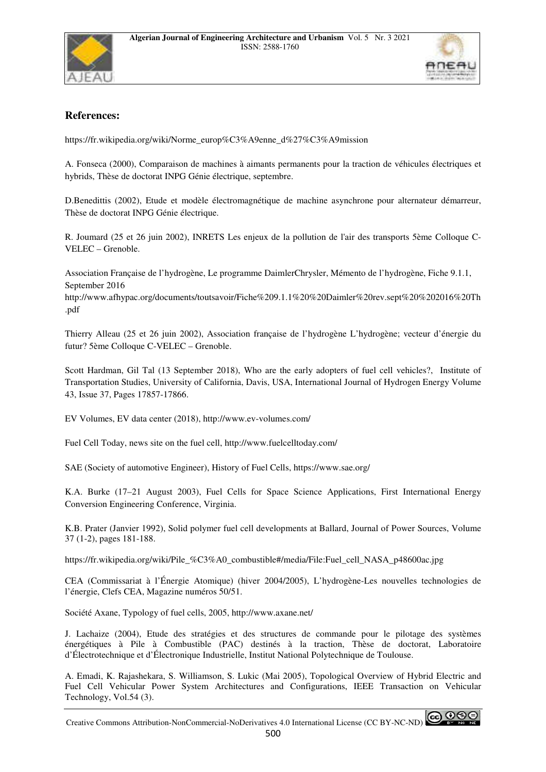



## **References:**

https://fr.wikipedia.org/wiki/Norme\_europ%C3%A9enne\_d%27%C3%A9mission

A. Fonseca (2000), Comparaison de machines à aimants permanents pour la traction de véhicules électriques et hybrids, Thèse de doctorat INPG Génie électrique, septembre.

D.Benedittis (2002), Etude et modèle électromagnétique de machine asynchrone pour alternateur démarreur, Thèse de doctorat INPG Génie électrique.

R. Joumard (25 et 26 juin 2002), INRETS Les enjeux de la pollution de l'air des transports 5ème Colloque C-VELEC – Grenoble.

Association Française de l'hydrogène, Le programme DaimlerChrysler, Mémento de l'hydrogène, Fiche 9.1.1, September 2016

http://www.afhypac.org/documents/toutsavoir/Fiche%209.1.1%20%20Daimler%20rev.sept%20%202016%20Th .pdf

Thierry Alleau (25 et 26 juin 2002), Association française de l'hydrogène L'hydrogène; vecteur d'énergie du futur? 5ème Colloque C-VELEC – Grenoble.

Scott Hardman, Gil Tal (13 September 2018), Who are the early adopters of fuel cell vehicles?, Institute of Transportation Studies, University of California, Davis, USA, International Journal of Hydrogen Energy Volume 43, Issue 37, Pages 17857-17866.

EV Volumes, EV data center (2018), http://www.ev-volumes.com/

Fuel Cell Today, news site on the fuel cell, http://www.fuelcelltoday.com/

SAE (Society of automotive Engineer), History of Fuel Cells, https://www.sae.org/

K.A. Burke (17–21 August 2003), Fuel Cells for Space Science Applications, First International Energy Conversion Engineering Conference, Virginia.

K.B. Prater (Janvier 1992), Solid polymer fuel cell developments at Ballard, Journal of Power Sources, Volume 37 (1-2), pages 181-188.

https://fr.wikipedia.org/wiki/Pile\_%C3%A0\_combustible#/media/File:Fuel\_cell\_NASA\_p48600ac.jpg

CEA (Commissariat à l'Énergie Atomique) (hiver 2004/2005), L'hydrogène-Les nouvelles technologies de l'énergie, Clefs CEA, Magazine numéros 50/51.

Société Axane, Typology of fuel cells, 2005, http://www.axane.net/

J. Lachaize (2004), Etude des stratégies et des structures de commande pour le pilotage des systèmes énergétiques à Pile à Combustible (PAC) destinés à la traction, Thèse de doctorat, Laboratoire d'Électrotechnique et d'Électronique Industrielle, Institut National Polytechnique de Toulouse.

A. Emadi, K. Rajashekara, S. Williamson, S. Lukic (Mai 2005), Topological Overview of Hybrid Electric and Fuel Cell Vehicular Power System Architectures and Configurations, IEEE Transaction on Vehicular Technology, Vol.54 (3).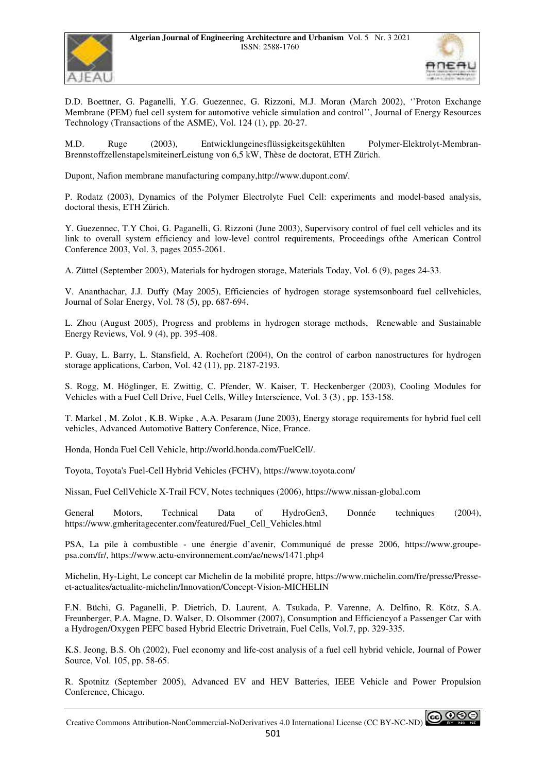



D.D. Boettner, G. Paganelli, Y.G. Guezennec, G. Rizzoni, M.J. Moran (March 2002), ''Proton Exchange Membrane (PEM) fuel cell system for automotive vehicle simulation and control'', Journal of Energy Resources Technology (Transactions of the ASME), Vol. 124 (1), pp. 20-27.

M.D. Ruge (2003), Entwicklungeinesflüssigkeitsgekühlten Polymer-Elektrolyt-Membran-BrennstoffzellenstapelsmiteinerLeistung von 6,5 kW, Thèse de doctorat, ETH Zürich.

Dupont, Nafion membrane manufacturing company,http://www.dupont.com/.

P. Rodatz (2003), Dynamics of the Polymer Electrolyte Fuel Cell: experiments and model-based analysis, doctoral thesis, ETH Zürich.

Y. Guezennec, T.Y Choi, G. Paganelli, G. Rizzoni (June 2003), Supervisory control of fuel cell vehicles and its link to overall system efficiency and low-level control requirements, Proceedings ofthe American Control Conference 2003, Vol. 3, pages 2055-2061.

A. Züttel (September 2003), Materials for hydrogen storage, Materials Today, Vol. 6 (9), pages 24-33.

V. Ananthachar, J.J. Duffy (May 2005), Efficiencies of hydrogen storage systemsonboard fuel cellvehicles, Journal of Solar Energy, Vol. 78 (5), pp. 687-694.

L. Zhou (August 2005), Progress and problems in hydrogen storage methods, Renewable and Sustainable Energy Reviews, Vol. 9 (4), pp. 395-408.

P. Guay, L. Barry, L. Stansfield, A. Rochefort (2004), On the control of carbon nanostructures for hydrogen storage applications, Carbon, Vol. 42 (11), pp. 2187-2193.

S. Rogg, M. Höglinger, E. Zwittig, C. Pfender, W. Kaiser, T. Heckenberger (2003), Cooling Modules for Vehicles with a Fuel Cell Drive, Fuel Cells, Willey Interscience, Vol. 3 (3) , pp. 153-158.

T. Markel , M. Zolot , K.B. Wipke , A.A. Pesaram (June 2003), Energy storage requirements for hybrid fuel cell vehicles, Advanced Automotive Battery Conference, Nice, France.

Honda, Honda Fuel Cell Vehicle, http://world.honda.com/FuelCell/.

Toyota, Toyota's Fuel-Cell Hybrid Vehicles (FCHV), https://www.toyota.com/

Nissan, Fuel CellVehicle X-Trail FCV, Notes techniques (2006), https://www.nissan-global.com

General Motors, Technical Data of HydroGen3, Donnée techniques (2004), https://www.gmheritagecenter.com/featured/Fuel\_Cell\_Vehicles.html

PSA, La pile à combustible - une énergie d'avenir, Communiqué de presse 2006, https://www.groupepsa.com/fr/, https://www.actu-environnement.com/ae/news/1471.php4

Michelin, Hy-Light, Le concept car Michelin de la mobilité propre, https://www.michelin.com/fre/presse/Presseet-actualites/actualite-michelin/Innovation/Concept-Vision-MICHELIN

F.N. Büchi, G. Paganelli, P. Dietrich, D. Laurent, A. Tsukada, P. Varenne, A. Delfino, R. Kötz, S.A. Freunberger, P.A. Magne, D. Walser, D. Olsommer (2007), Consumption and Efficiencyof a Passenger Car with a Hydrogen/Oxygen PEFC based Hybrid Electric Drivetrain, Fuel Cells, Vol.7, pp. 329-335.

K.S. Jeong, B.S. Oh (2002), Fuel economy and life-cost analysis of a fuel cell hybrid vehicle, Journal of Power Source, Vol. 105, pp. 58-65.

R. Spotnitz (September 2005), Advanced EV and HEV Batteries, IEEE Vehicle and Power Propulsion Conference, Chicago.